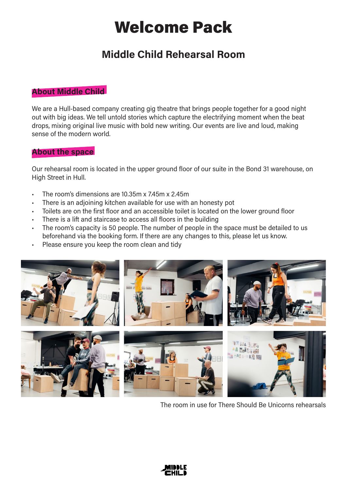# Welcome Pack

# Middle Child Rehearsal Room

# About Middle Child

We are a Hull-based company creating gig theatre that brings people together for a good night out with big ideas. We tell untold stories which capture the electrifying moment when the beat drops, mixing original live music with bold new writing. Our events are live and loud, making sense of the modern world.

# About the space

Our rehearsal room is located in the upper ground floor of our suite in the Bond 31 warehouse, on High Street in Hull.

- The room's dimensions are 10.35m x 7.45m x 2.45m
- There is an adjoining kitchen available for use with an honesty pot
- Toilets are on the first floor and an accessible toilet is located on the lower ground floor
- There is a lift and staircase to access all floors in the building
- The room's capacity is 50 people. The number of people in the space must be detailed to us beforehand via the booking form. If there are any changes to this, please let us know.
- Please ensure you keep the room clean and tidy



The room in use for There Should Be Unicorns rehearsals

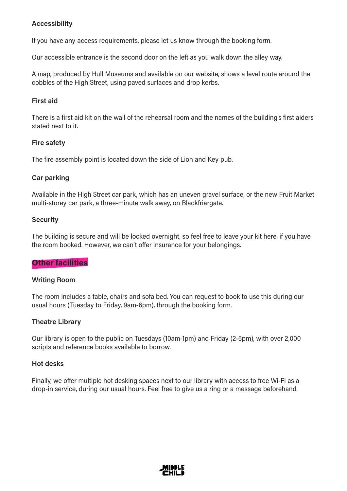# Accessibility

If you have any access requirements, please let us know through the booking form.

Our accessible entrance is the second door on the left as you walk down the alley way.

A map, produced by Hull Museums and available on our website, shows a level route around the cobbles of the High Street, using paved surfaces and drop kerbs.

# First aid

There is a first aid kit on the wall of the rehearsal room and the names of the building's first aiders stated next to it.

#### Fire safety

The fire assembly point is located down the side of Lion and Key pub.

# Car parking

Available in the High Street car park, which has an uneven gravel surface, or the new Fruit Market multi-storey car park, a three-minute walk away, on Blackfriargate.

#### **Security**

The building is secure and will be locked overnight, so feel free to leave your kit here, if you have the room booked. However, we can't offer insurance for your belongings.

#### **Other facilities**

#### Writing Room

The room includes a table, chairs and sofa bed. You can request to book to use this during our usual hours (Tuesday to Friday, 9am-6pm), through the booking form.

#### Theatre Library

Our library is open to the public on Tuesdays (10am-1pm) and Friday (2-5pm), with over 2,000 scripts and reference books available to borrow.

#### Hot desks

Finally, we offer multiple hot desking spaces next to our library with access to free Wi-Fi as a drop-in service, during our usual hours. Feel free to give us a ring or a message beforehand.